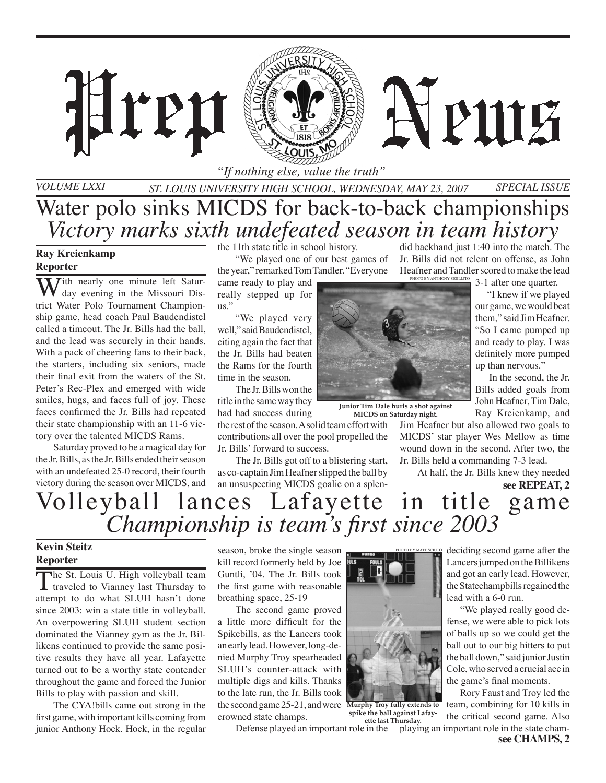

*Volume LXXI*

*St. Louis University High School, Wednesday, May 23, 2007 Special Issue* Water polo sinks MICDS for back-to-back championships *Victory marks sixth undefeated season in team history*

### **Ray Kreienkamp Reporter**

With nearly one minute left Saturtrict Water Polo Tournament Championship game, head coach Paul Baudendistel called a timeout. The Jr. Bills had the ball, and the lead was securely in their hands. With a pack of cheering fans to their back, the starters, including six seniors, made their final exit from the waters of the St. Peter's Rec-Plex and emerged with wide smiles, hugs, and faces full of joy. These faces confirmed the Jr. Bills had repeated their state championship with an 11-6 victory over the talented MICDS Rams.

Hren

Saturday proved to be a magical day for the Jr. Bills, as the Jr. Bills ended their season with an undefeated 25-0 record, their fourth victory during the season over MICDS, and

the 11th state title in school history.

"We played one of our best games of the year," remarked Tom Tandler. "Everyone

came ready to play and really stepped up for us."

"We played very well," said Baudendistel, citing again the fact that the Jr. Bills had beaten the Rams for the fourth time in the season.

The Jr. Bills won the title in the same way they had had success during

the rest of the season. A solid team effort with contributions all over the pool propelled the Jr. Bills' forward to success.

The Jr. Bills got off to a blistering start, as co-captain Jim Heafner slipped the ball by an unsuspecting MICDS goalie on a splendid backhand just 1:40 into the match. The Jr. Bills did not relent on offense, as John Heafner and Tandler scored to make the lead 3-1 after one quarter. Photo by Anthony Sigillito

A PUIE

 "I knew if we played our game, we would beat

them," said Jim Heafner. "So I came pumped up and ready to play. I was definitely more pumped up than nervous."

 In the second, the Jr. Bills added goals from John Heafner, Tim Dale, Ray Kreienkamp, and

Jim Heafner but also allowed two goals to MICDS' star player Wes Mellow as time wound down in the second. After two, the Jr. Bills held a commanding 7-3 lead.

At half, the Jr. Bills knew they needed

**see REPEAT, 2**

# Volleyball lances Lafayette in title game *Championship is team's first since 2003*

#### **Kevin Steitz Reporter**

The St. Louis U. High volleyball team<br>traveled to Vianney last Thursday to attempt to do what SLUH hasn't done since 2003: win a state title in volleyball. An overpowering SLUH student section dominated the Vianney gym as the Jr. Billikens continued to provide the same positive results they have all year. Lafayette turned out to be a worthy state contender throughout the game and forced the Junior Bills to play with passion and skill.

The CYA!bills came out strong in the first game, with important kills coming from junior Anthony Hock. Hock, in the regular season, broke the single season kill record formerly held by Joe Guntli, '04. The Jr. Bills took the first game with reasonable breathing space, 25-19

The second game proved a little more difficult for the Spikebills, as the Lancers took an early lead. However, long-denied Murphy Troy spearheaded SLUH's counter-attack with multiple digs and kills. Thanks to the late run, the Jr. Bills took the second game 25-21, and were **Murphy Troy fully extends to**  crowned state champs.



Photo by Matt Sciuto

**spike the ball against Lafayette last Thursday.**

deciding second game after the Lancers jumped on the Billikens and got an early lead. However, the Statechampbills regained the lead with a 6-0 run.

 "We played really good defense, we were able to pick lots of balls up so we could get the ball out to our big hitters to put the ball down," said junior Justin Cole,whoserved a crucial ace in the game's final moments.

Defense played an important role in the playing an important role in the state cham- Rory Faust and Troy led the team, combining for 10 kills in the critical second game. Also



**Junior Tim Dale hurls a shot against MICDS on Saturday night.**